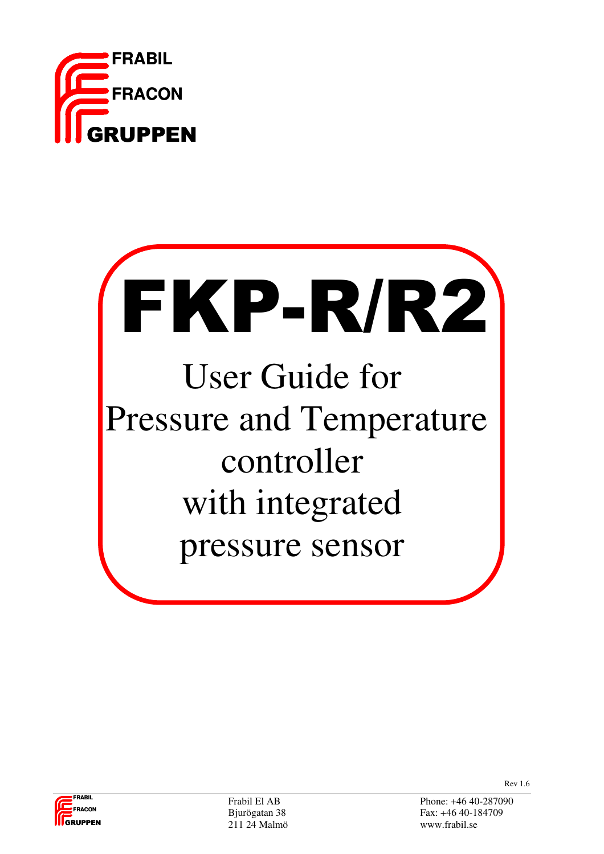

# FKP-R/R2 User Guide for Pressure and Temperature controller with integrated pressure sensor



211 24 Malmö www.frabil.se

Frabil El AB Phone: +46 40-287090 Bjurögatan 38 Fax: +46 40-184709

Rev 1.6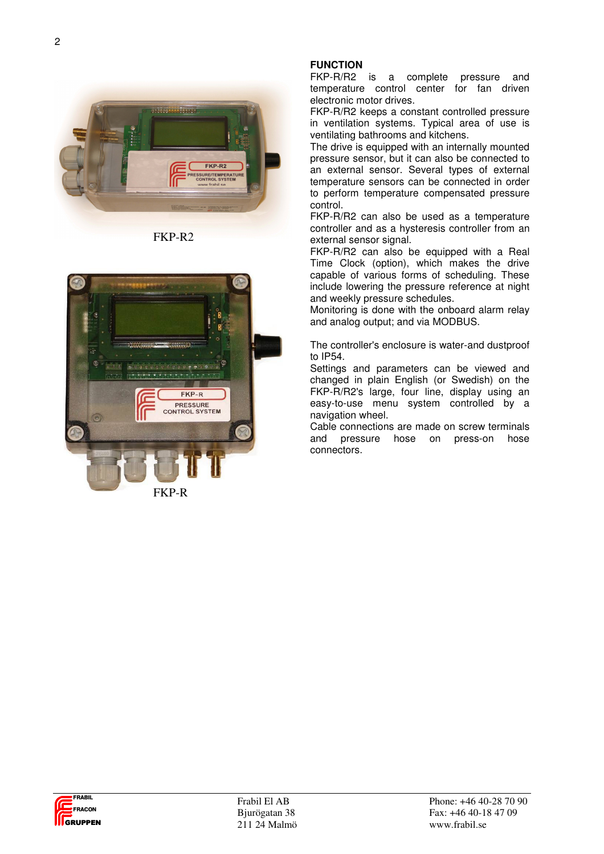

FKP-R2



FKP-R

#### **FUNCTION**

FKP-R/R2 is a complete pressure and temperature control center for fan driven electronic motor drives.

FKP-R/R2 keeps a constant controlled pressure in ventilation systems. Typical area of use is ventilating bathrooms and kitchens.

The drive is equipped with an internally mounted pressure sensor, but it can also be connected to an external sensor. Several types of external temperature sensors can be connected in order to perform temperature compensated pressure control.

FKP-R/R2 can also be used as a temperature controller and as a hysteresis controller from an external sensor signal.

FKP-R/R2 can also be equipped with a Real Time Clock (option), which makes the drive capable of various forms of scheduling. These include lowering the pressure reference at night and weekly pressure schedules.

Monitoring is done with the onboard alarm relay and analog output; and via MODBUS.

The controller's enclosure is water-and dustproof to IP54.

Settings and parameters can be viewed and changed in plain English (or Swedish) on the FKP-R/R2's large, four line, display using an easy-to-use menu system controlled by a navigation wheel.

Cable connections are made on screw terminals and pressure hose on press-on hose connectors.

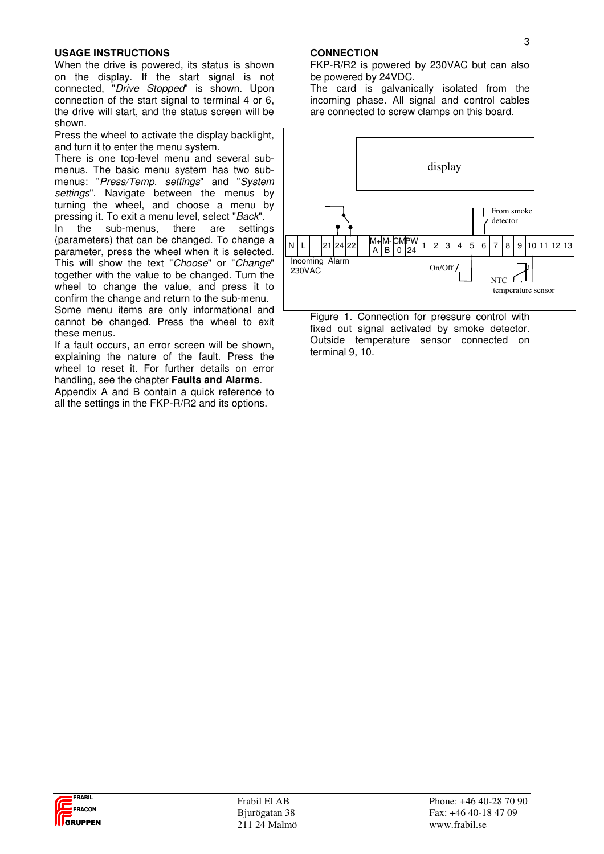#### **USAGE INSTRUCTIONS**

When the drive is powered, its status is shown on the display. If the start signal is not connected, "Drive Stopped" is shown. Upon connection of the start signal to terminal 4 or 6. the drive will start, and the status screen will be shown.

Press the wheel to activate the display backlight, and turn it to enter the menu system.

There is one top-level menu and several submenus. The basic menu system has two submenus: "Press/Temp. settings" and "System settings". Navigate between the menus by turning the wheel, and choose a menu by pressing it. To exit a menu level, select "Back".

In the sub-menus, there are settings (parameters) that can be changed. To change a parameter, press the wheel when it is selected. This will show the text "Choose" or "Change" together with the value to be changed. Turn the wheel to change the value, and press it to confirm the change and return to the sub-menu. Some menu items are only informational and cannot be changed. Press the wheel to exit these menus.

If a fault occurs, an error screen will be shown, explaining the nature of the fault. Press the wheel to reset it. For further details on error handling, see the chapter **Faults and Alarms**.

Appendix A and B contain a quick reference to all the settings in the FKP-R/R2 and its options.

#### **CONNECTION**

FKP-R/R2 is powered by 230VAC but can also be powered by 24VDC.

The card is galvanically isolated from the incoming phase. All signal and control cables are connected to screw clamps on this board.



Figure 1. Connection for pressure control with fixed out signal activated by smoke detector. Outside temperature sensor connected on terminal 9, 10.

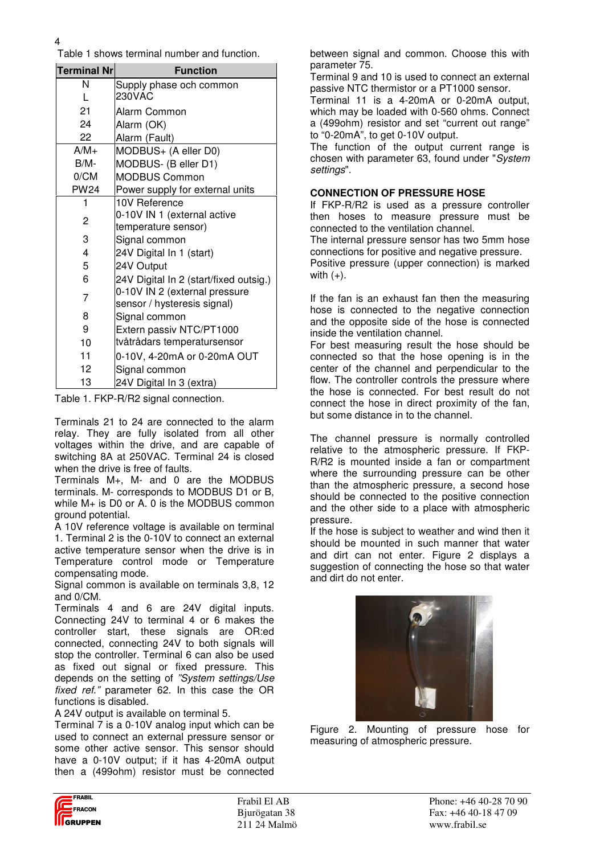Table 1 shows terminal number and function.

| <b>Terminal Nr</b>      | <b>Function</b>                        |  |
|-------------------------|----------------------------------------|--|
| N                       | Supply phase och common                |  |
| L                       | 230VAC                                 |  |
| 21                      | Alarm Common                           |  |
| 24                      | Alarm (OK)                             |  |
| 22                      | Alarm (Fault)                          |  |
| $A/M+$                  | MODBUS+ (A eller D0)                   |  |
| B/M-                    | MODBUS- (B eller D1)                   |  |
| 0/CM                    | <b>MODBUS Common</b>                   |  |
| <b>PW24</b>             | Power supply for external units        |  |
| 1                       | 10V Reference                          |  |
| 2                       | 0-10V IN 1 (external active            |  |
|                         | temperature sensor)                    |  |
| 3<br>Signal common      |                                        |  |
| $\overline{\mathbf{4}}$ | 24V Digital In 1 (start)               |  |
| 5                       | 24V Output                             |  |
| 6                       | 24V Digital In 2 (start/fixed outsig.) |  |
| 7                       | 0-10V IN 2 (external pressure          |  |
|                         | sensor / hysteresis signal)            |  |
| 8                       | Signal common                          |  |
| 9                       | Extern passiv NTC/PT1000               |  |
| 10                      | tvåtrådars temperatursensor            |  |
| 11                      | 0-10V, 4-20mA or 0-20mA OUT            |  |
| 12                      | Signal common                          |  |
| 13                      | 24V Digital In 3 (extra)               |  |

Table 1. FKP-R/R2 signal connection.

Terminals 21 to 24 are connected to the alarm relay. They are fully isolated from all other voltages within the drive, and are capable of switching 8A at 250VAC. Terminal 24 is closed when the drive is free of faults.

Terminals M+, M- and 0 are the MODBUS terminals. M- corresponds to MODBUS D1 or B, while M+ is D0 or A. 0 is the MODBUS common ground potential.

A 10V reference voltage is available on terminal 1. Terminal 2 is the 0-10V to connect an external active temperature sensor when the drive is in Temperature control mode or Temperature compensating mode.

Signal common is available on terminals 3,8, 12 and 0/CM.

Terminals 4 and 6 are 24V digital inputs. Connecting 24V to terminal 4 or 6 makes the controller start, these signals are OR:ed connected, connecting 24V to both signals will stop the controller. Terminal 6 can also be used as fixed out signal or fixed pressure. This depends on the setting of "System settings/Use fixed ref." parameter 62. In this case the OR functions is disabled.

A 24V output is available on terminal 5.

Terminal 7 is a 0-10V analog input which can be used to connect an external pressure sensor or some other active sensor. This sensor should have a 0-10V output; if it has 4-20mA output then a (499ohm) resistor must be connected between signal and common. Choose this with parameter 75.

Terminal 9 and 10 is used to connect an external passive NTC thermistor or a PT1000 sensor.

Terminal 11 is a 4-20mA or 0-20mA output, which may be loaded with 0-560 ohms. Connect a (499ohm) resistor and set "current out range" to "0-20mA", to get 0-10V output.

The function of the output current range is chosen with parameter 63, found under "System settings".

#### **CONNECTION OF PRESSURE HOSE**

with  $(+)$ .

If FKP-R/R2 is used as a pressure controller then hoses to measure pressure must be connected to the ventilation channel.

The internal pressure sensor has two 5mm hose connections for positive and negative pressure. Positive pressure (upper connection) is marked

If the fan is an exhaust fan then the measuring hose is connected to the negative connection and the opposite side of the hose is connected inside the ventilation channel.

For best measuring result the hose should be connected so that the hose opening is in the center of the channel and perpendicular to the flow. The controller controls the pressure where the hose is connected. For best result do not connect the hose in direct proximity of the fan, but some distance in to the channel.

The channel pressure is normally controlled relative to the atmospheric pressure. If FKP-R/R2 is mounted inside a fan or compartment where the surrounding pressure can be other than the atmospheric pressure, a second hose should be connected to the positive connection and the other side to a place with atmospheric pressure.

If the hose is subject to weather and wind then it should be mounted in such manner that water and dirt can not enter. Figure 2 displays a suggestion of connecting the hose so that water and dirt do not enter.



Figure 2. Mounting of pressure hose for measuring of atmospheric pressure.

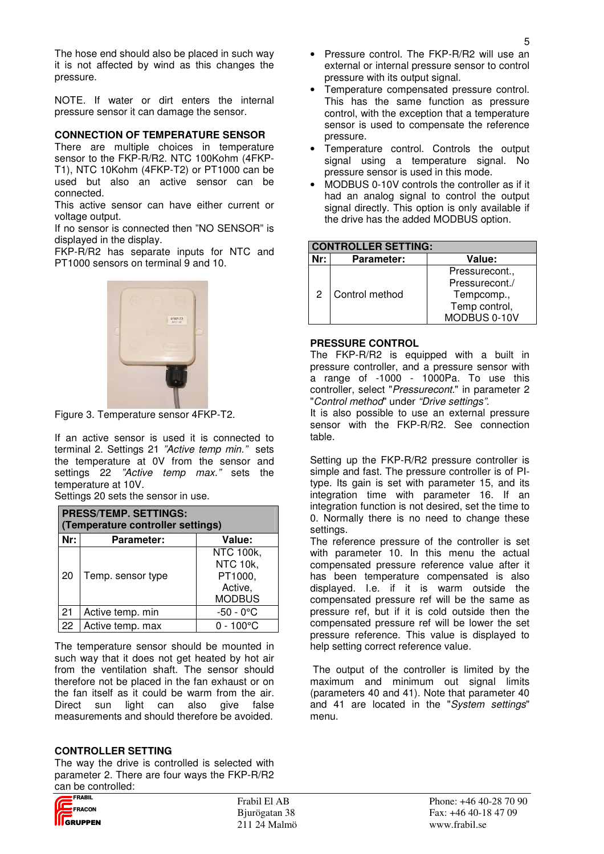The hose end should also be placed in such way it is not affected by wind as this changes the pressure.

NOTE. If water or dirt enters the internal pressure sensor it can damage the sensor.

#### **CONNECTION OF TEMPERATURE SENSOR**

There are multiple choices in temperature sensor to the FKP-R/R2. NTC 100Kohm (4FKP-T1), NTC 10Kohm (4FKP-T2) or PT1000 can be used but also an active sensor can be connected.

This active sensor can have either current or voltage output.

If no sensor is connected then "NO SENSOR" is displayed in the display.

FKP-R/R2 has separate inputs for NTC and PT1000 sensors on terminal 9 and 10.



Figure 3. Temperature sensor 4FKP-T2.

If an active sensor is used it is connected to terminal 2. Settings 21 "Active temp min." sets the temperature at 0V from the sensor and settings 22 "Active temp max." sets the temperature at 10V.

Settings 20 sets the sensor in use.

| <b>PRESS/TEMP. SETTINGS:</b><br>(Temperature controller settings) |                             |                                                                     |  |
|-------------------------------------------------------------------|-----------------------------|---------------------------------------------------------------------|--|
| Nr:                                                               | Value:<br><b>Parameter:</b> |                                                                     |  |
| 20                                                                | Temp. sensor type           | <b>NTC 100k,</b><br>NTC 10k,<br>PT1000,<br>Active,<br><b>MODBUS</b> |  |
| 21                                                                | Active temp. min            | $-50 - 0^{\circ}$ C                                                 |  |
| 22                                                                | Active temp. max            | $0 - 100^{\circ}$ C                                                 |  |

The temperature sensor should be mounted in such way that it does not get heated by hot air from the ventilation shaft. The sensor should therefore not be placed in the fan exhaust or on the fan itself as it could be warm from the air. Direct sun light can also give false measurements and should therefore be avoided.

#### **CONTROLLER SETTING**

The way the drive is controlled is selected with parameter 2. There are four ways the FKP-R/R2 can be controlled:

- Pressure control. The FKP-R/R2 will use an external or internal pressure sensor to control pressure with its output signal.
- Temperature compensated pressure control. This has the same function as pressure control, with the exception that a temperature sensor is used to compensate the reference pressure.
- Temperature control. Controls the output signal using a temperature signal. No pressure sensor is used in this mode.
- MODBUS 0-10V controls the controller as if it had an analog signal to control the output signal directly. This option is only available if the drive has the added MODBUS option.

| <b>CONTROLLER SETTING:</b>         |                |                |  |
|------------------------------------|----------------|----------------|--|
| Nr:<br>Value:<br><b>Parameter:</b> |                |                |  |
| 2                                  | Control method | Pressurecont., |  |
|                                    |                | Pressurecont./ |  |
|                                    |                | Tempcomp.,     |  |
|                                    |                | Temp control,  |  |
|                                    |                | MODBUS 0-10V   |  |

#### **PRESSURE CONTROL**

The FKP-R/R2 is equipped with a built in pressure controller, and a pressure sensor with a range of -1000 - 1000Pa. To use this controller, select "Pressurecont." in parameter 2 "Control method" under "Drive settings".

It is also possible to use an external pressure sensor with the FKP-R/R2. See connection table.

Setting up the FKP-R/R2 pressure controller is simple and fast. The pressure controller is of PItype. Its gain is set with parameter 15, and its integration time with parameter 16. If an integration function is not desired, set the time to 0. Normally there is no need to change these settings.

The reference pressure of the controller is set with parameter 10. In this menu the actual compensated pressure reference value after it has been temperature compensated is also displayed. I.e. if it is warm outside the compensated pressure ref will be the same as pressure ref, but if it is cold outside then the compensated pressure ref will be lower the set pressure reference. This value is displayed to help setting correct reference value.

 The output of the controller is limited by the maximum and minimum out signal limits (parameters 40 and 41). Note that parameter 40 and 41 are located in the "System settings" menu.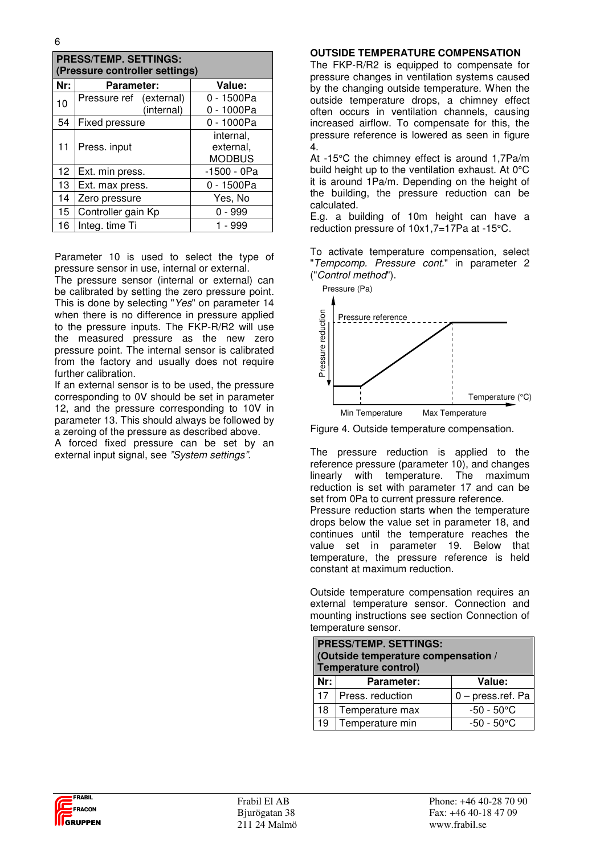| <b>PRESS/TEMP. SETTINGS:</b><br>(Pressure controller settings) |                                       |                                         |  |  |
|----------------------------------------------------------------|---------------------------------------|-----------------------------------------|--|--|
| Nr:                                                            | <b>Parameter:</b>                     | Value:                                  |  |  |
| 10                                                             | Pressure ref (external)<br>(internal) | 0 - 1500Pa<br>0 - 1000Pa                |  |  |
| 54                                                             | Fixed pressure                        | 0 - 1000Pa                              |  |  |
| 11                                                             | Press. input                          | internal,<br>external.<br><b>MODBUS</b> |  |  |
| 12 <sub>2</sub>                                                | Ext. min press.                       | -1500 - 0Pa                             |  |  |
| 13                                                             | Ext. max press.                       | 0 - 1500Pa                              |  |  |
| 14                                                             | Zero pressure                         | Yes, No                                 |  |  |
| 15                                                             | Controller gain Kp                    | 0 - 999                                 |  |  |
| 16                                                             | Integ. time Ti                        | - 999                                   |  |  |

Parameter 10 is used to select the type of pressure sensor in use, internal or external.

The pressure sensor (internal or external) can be calibrated by setting the zero pressure point. This is done by selecting "Yes" on parameter 14 when there is no difference in pressure applied to the pressure inputs. The FKP-R/R2 will use the measured pressure as the new zero pressure point. The internal sensor is calibrated from the factory and usually does not require further calibration.

If an external sensor is to be used, the pressure corresponding to 0V should be set in parameter 12, and the pressure corresponding to 10V in parameter 13. This should always be followed by a zeroing of the pressure as described above.

A forced fixed pressure can be set by an external input signal, see "System settings".

#### **OUTSIDE TEMPERATURE COMPENSATION**

The FKP-R/R2 is equipped to compensate for pressure changes in ventilation systems caused by the changing outside temperature. When the outside temperature drops, a chimney effect often occurs in ventilation channels, causing increased airflow. To compensate for this, the pressure reference is lowered as seen in figure 4.

At -15°C the chimney effect is around 1,7Pa/m build height up to the ventilation exhaust. At 0°C it is around 1Pa/m. Depending on the height of the building, the pressure reduction can be calculated.

E.g. a building of 10m height can have a reduction pressure of 10x1,7=17Pa at -15°C.

To activate temperature compensation, select "Tempcomp. Pressure cont." in parameter 2 ("Control method").



Figure 4. Outside temperature compensation.

The pressure reduction is applied to the reference pressure (parameter 10), and changes linearly with temperature. The maximum reduction is set with parameter 17 and can be set from 0Pa to current pressure reference. Pressure reduction starts when the temperature drops below the value set in parameter 18, and continues until the temperature reaches the value set in parameter 19. Below that temperature, the pressure reference is held constant at maximum reduction.

Outside temperature compensation requires an external temperature sensor. Connection and mounting instructions see section Connection of temperature sensor.

| <b>PRESS/TEMP. SETTINGS:</b><br>(Outside temperature compensation /<br>Temperature control) |                                         |  |  |  |
|---------------------------------------------------------------------------------------------|-----------------------------------------|--|--|--|
| Nr:                                                                                         | Value:<br><b>Parameter:</b>             |  |  |  |
| 17                                                                                          | $0$ – press.ref. Pa<br>Press. reduction |  |  |  |
| 18                                                                                          | $-50 - 50^{\circ}$ C<br>Temperature max |  |  |  |
| 19                                                                                          | $-50 - 50^{\circ}$ C<br>Temperature min |  |  |  |

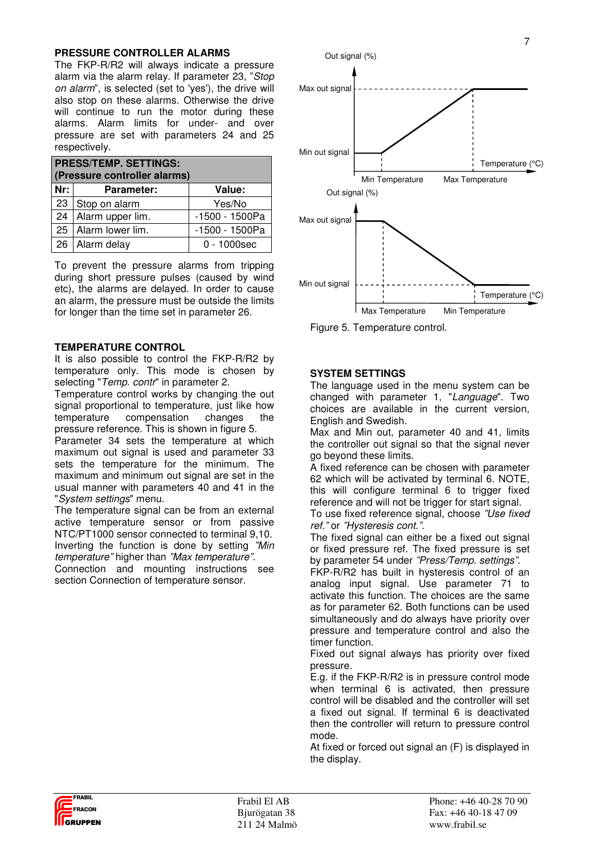#### **PRESSURE CONTROLLER ALARMS**

The FKP-R/R2 will always indicate a pressure alarm via the alarm relay. If parameter 23, "Stop on alarm", is selected (set to 'yes'), the drive will also stop on these alarms. Otherwise the drive will continue to run the motor during these alarms. Alarm limits for under- and over pressure are set with parameters 24 and 25 respectively.

| <b>PRESS/TEMP. SETTINGS:</b><br>(Pressure controller alarms) |                   |                |  |  |
|--------------------------------------------------------------|-------------------|----------------|--|--|
| Nr:                                                          | <b>Parameter:</b> | Value:         |  |  |
| 23                                                           | Stop on alarm     | Yes/No         |  |  |
| 24                                                           | Alarm upper lim.  | -1500 - 1500Pa |  |  |
| 25                                                           | Alarm lower lim.  | -1500 - 1500Pa |  |  |
| 26                                                           | Alarm delay       | $0 - 1000$ sec |  |  |

To prevent the pressure alarms from tripping during short pressure pulses (caused by wind etc), the alarms are delayed. In order to cause an alarm, the pressure must be outside the limits for longer than the time set in parameter 26.

#### **TEMPERATURE CONTROL**

It is also possible to control the FKP-R/R2 by temperature only. This mode is chosen by selecting "Temp. contr" in parameter 2.

Temperature control works by changing the out signal proportional to temperature, just like how temperature compensation changes the pressure reference. This is shown in figure 5.

Parameter 34 sets the temperature at which maximum out signal is used and parameter 33 sets the temperature for the minimum. The maximum and minimum out signal are set in the usual manner with parameters 40 and 41 in the "System settings" menu.

The temperature signal can be from an external active temperature sensor or from passive NTC/PT1000 sensor connected to terminal 9,10. Inverting the function is done by setting "Min temperature" higher than "Max temperature".

Connection and mounting instructions see section Connection of temperature sensor.



7

Figure 5. Temperature control.

#### **SYSTEM SETTINGS**

The language used in the menu system can be changed with parameter 1, "Language". Two choices are available in the current version, English and Swedish.

Max and Min out, parameter 40 and 41, limits the controller out signal so that the signal never go beyond these limits.

A fixed reference can be chosen with parameter 62 which will be activated by terminal 6. NOTE, this will configure terminal 6 to trigger fixed reference and will not be trigger for start signal.

To use fixed reference signal, choose "Use fixed ref." or "Hysteresis cont.".

The fixed signal can either be a fixed out signal or fixed pressure ref. The fixed pressure is set by parameter 54 under "Press/Temp. settings".

FKP-R/R2 has built in hysteresis control of an analog input signal. Use parameter 71 to activate this function. The choices are the same as for parameter 62. Both functions can be used simultaneously and do always have priority over pressure and temperature control and also the timer function.

Fixed out signal always has priority over fixed pressure.

E.g. if the FKP-R/R2 is in pressure control mode when terminal 6 is activated, then pressure control will be disabled and the controller will set a fixed out signal. If terminal 6 is deactivated then the controller will return to pressure control mode.

At fixed or forced out signal an (F) is displayed in the display.

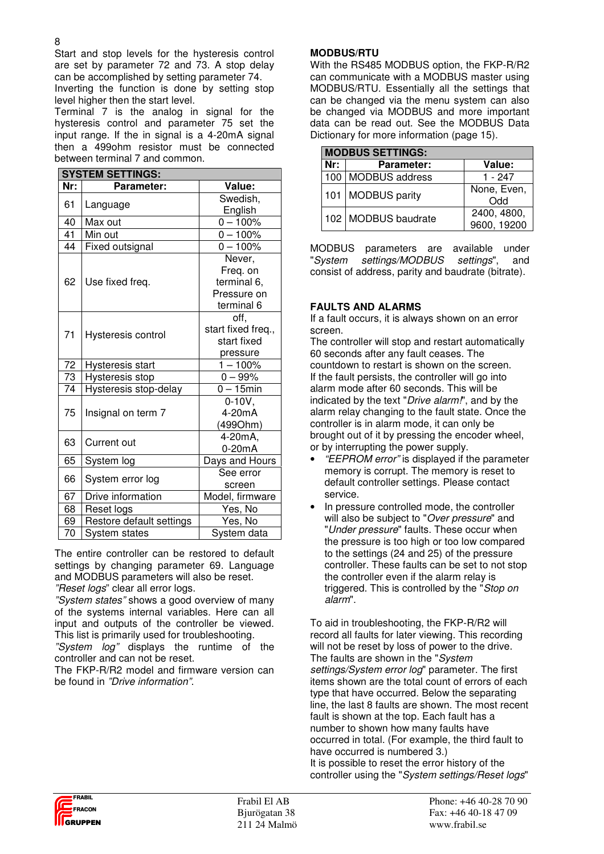8

Start and stop levels for the hysteresis control are set by parameter 72 and 73. A stop delay can be accomplished by setting parameter 74. Inverting the function is done by setting stop level higher then the start level.

Terminal 7 is the analog in signal for the hysteresis control and parameter 75 set the input range. If the in signal is a 4-20mA signal then a 499ohm resistor must be connected between terminal 7 and common.

| <b>SYSTEM SETTINGS:</b> |                              |                                                                |  |  |
|-------------------------|------------------------------|----------------------------------------------------------------|--|--|
| Nr:                     | Parameter:                   | Value:                                                         |  |  |
| 61                      | Language                     | Swedish,<br>English                                            |  |  |
| 40                      | Max out                      | $\overline{0}$ – 100%                                          |  |  |
| 41                      | Min out                      | $0 - 100%$                                                     |  |  |
| 44                      | Fixed outsignal              | $0 - 100%$                                                     |  |  |
| 62                      | Use fixed freq.              | Never,<br>Freq. on<br>terminal 6,<br>Pressure on<br>terminal 6 |  |  |
| 71                      | Hysteresis control           | off,<br>start fixed freq.,<br>start fixed<br>pressure          |  |  |
| 72                      | Hysteresis start             | $1 - 100%$                                                     |  |  |
| 73                      | Hysteresis stop              | $0 - 99%$                                                      |  |  |
| 74                      | Hysteresis stop-delay        | $0 - 15$ min                                                   |  |  |
| 75                      | Insignal on term 7           | $0-10V$ ,<br>4-20mA<br>(499Ohm)                                |  |  |
| 63                      | Current out                  | 4-20mA,<br>$0-20mA$                                            |  |  |
| 65                      | System log                   | Days and Hours                                                 |  |  |
| 66                      | System error log             | See error<br>screen                                            |  |  |
| 67                      | Drive information            | Model, firmware                                                |  |  |
| 68                      | Reset logs                   | Yes, No                                                        |  |  |
| 69                      | Restore default settings     | Yes, No                                                        |  |  |
| 70                      | System data<br>System states |                                                                |  |  |

The entire controller can be restored to default settings by changing parameter 69. Language and MODBUS parameters will also be reset. "Reset logs" clear all error logs.

"System states" shows a good overview of many of the systems internal variables. Here can all input and outputs of the controller be viewed. This list is primarily used for troubleshooting.

"System log" displays the runtime of the controller and can not be reset.

The FKP-R/R2 model and firmware version can be found in "Drive information".

# **MODBUS/RTU**

With the RS485 MODBUS option, the FKP-R/R2 can communicate with a MODBUS master using MODBUS/RTU. Essentially all the settings that can be changed via the menu system can also be changed via MODBUS and more important data can be read out. See the MODBUS Data Dictionary for more information (page 15).

| <b>MODBUS SETTINGS:</b> |                      |                            |  |  |
|-------------------------|----------------------|----------------------------|--|--|
| Nr:                     | <b>Parameter:</b>    | Value:                     |  |  |
|                         | 100   MODBUS address | 1 - 247                    |  |  |
|                         | 101 MODBUS parity    | None, Even,<br><b>Ddd</b>  |  |  |
|                         | 102 MODBUS baudrate  | 2400, 4800,<br>9600, 19200 |  |  |

MODBUS parameters are available under "System settings/MODBUS settings", and consist of address, parity and baudrate (bitrate).

## **FAULTS AND ALARMS**

If a fault occurs, it is always shown on an error screen.

The controller will stop and restart automatically 60 seconds after any fault ceases. The countdown to restart is shown on the screen. If the fault persists, the controller will go into alarm mode after 60 seconds. This will be indicated by the text "Drive alarm!", and by the alarm relay changing to the fault state. Once the controller is in alarm mode, it can only be brought out of it by pressing the encoder wheel, or by interrupting the power supply.

- "EEPROM error" is displayed if the parameter memory is corrupt. The memory is reset to default controller settings. Please contact service.
- In pressure controlled mode, the controller will also be subject to "Over pressure" and "Under pressure" faults. These occur when the pressure is too high or too low compared to the settings (24 and 25) of the pressure controller. These faults can be set to not stop the controller even if the alarm relay is triggered. This is controlled by the "Stop on alarm".

To aid in troubleshooting, the FKP-R/R2 will record all faults for later viewing. This recording will not be reset by loss of power to the drive. The faults are shown in the "System" settings/System error log" parameter. The first items shown are the total count of errors of each type that have occurred. Below the separating line, the last 8 faults are shown. The most recent fault is shown at the top. Each fault has a number to shown how many faults have occurred in total. (For example, the third fault to have occurred is numbered 3.) It is possible to reset the error history of the controller using the "System settings/Reset logs"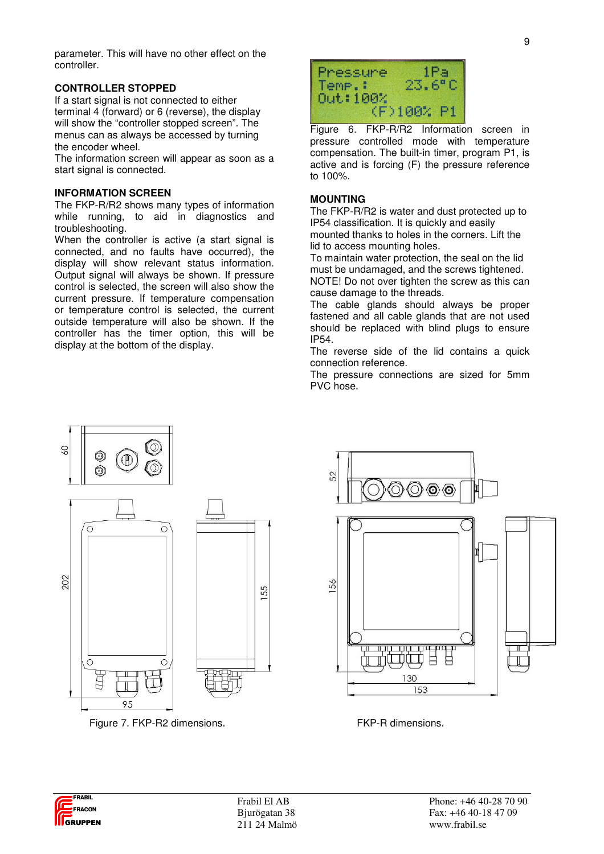parameter. This will have no other effect on the controller.

#### **CONTROLLER STOPPED**

If a start signal is not connected to either terminal 4 (forward) or 6 (reverse), the display will show the "controller stopped screen". The menus can as always be accessed by turning the encoder wheel.

The information screen will appear as soon as a start signal is connected.

#### **INFORMATION SCREEN**

The FKP-R/R2 shows many types of information while running, to aid in diagnostics and troubleshooting.

When the controller is active (a start signal is connected, and no faults have occurred), the display will show relevant status information. Output signal will always be shown. If pressure control is selected, the screen will also show the current pressure. If temperature compensation or temperature control is selected, the current outside temperature will also be shown. If the controller has the timer option, this will be display at the bottom of the display.



Figure 6. FKP-R/R2 Information screen in pressure controlled mode with temperature compensation. The built-in timer, program P1, is active and is forcing (F) the pressure reference to 100%.

#### **MOUNTING**

The FKP-R/R2 is water and dust protected up to IP54 classification. It is quickly and easily mounted thanks to holes in the corners. Lift the

lid to access mounting holes.

To maintain water protection, the seal on the lid must be undamaged, and the screws tightened. NOTE! Do not over tighten the screw as this can cause damage to the threads.

The cable glands should always be proper fastened and all cable glands that are not used should be replaced with blind plugs to ensure IP54.

The reverse side of the lid contains a quick connection reference.

The pressure connections are sized for 5mm PVC hose.



Figure 7. FKP-R2 dimensions. The state of the FKP-R dimensions.



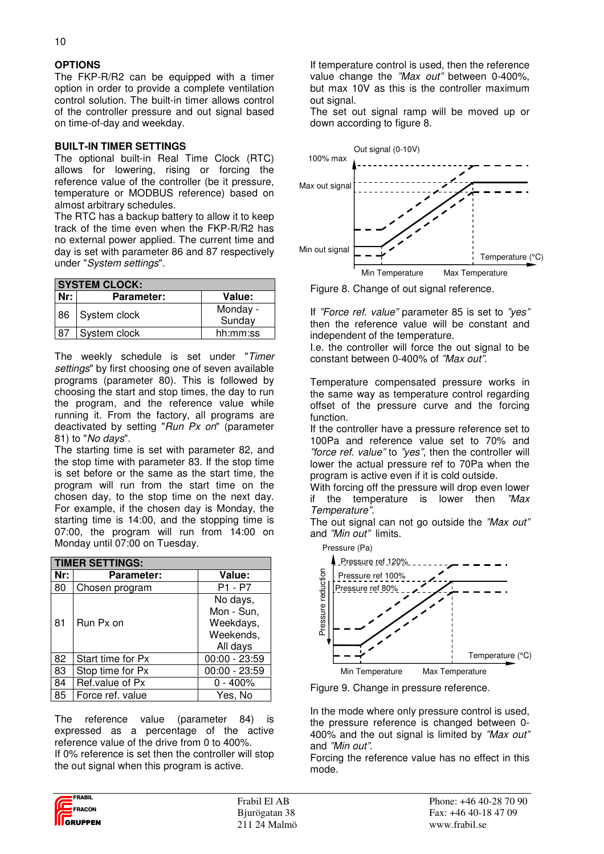## **OPTIONS**

The FKP-R/R2 can be equipped with a timer option in order to provide a complete ventilation control solution. The built-in timer allows control of the controller pressure and out signal based on time-of-day and weekday.

#### **BUILT-IN TIMER SETTINGS**

The optional built-in Real Time Clock (RTC) allows for lowering, rising or forcing the reference value of the controller (be it pressure, temperature or MODBUS reference) based on almost arbitrary schedules.

The RTC has a backup battery to allow it to keep track of the time even when the FKP-R/R2 has no external power applied. The current time and day is set with parameter 86 and 87 respectively under "System settings".

| <b>SYSTEM CLOCK:</b> |                   |          |  |  |
|----------------------|-------------------|----------|--|--|
| Nr:                  | <b>Parameter:</b> | Value:   |  |  |
|                      | 86 System clock   | Monday - |  |  |
|                      |                   | Sunday   |  |  |
| 87                   | System clock      | hh:mm:ss |  |  |

The weekly schedule is set under "Timer settings" by first choosing one of seven available programs (parameter 80). This is followed by choosing the start and stop times, the day to run the program, and the reference value while running it. From the factory, all programs are deactivated by setting "Run Px on" (parameter 81) to "No days".

The starting time is set with parameter 82, and the stop time with parameter 83. If the stop time is set before or the same as the start time, the program will run from the start time on the chosen day, to the stop time on the next day. For example, if the chosen day is Monday, the starting time is 14:00, and the stopping time is 07:00, the program will run from 14:00 on Monday until 07:00 on Tuesday.

| <b>TIMER SETTINGS:</b> |                   |                 |  |  |
|------------------------|-------------------|-----------------|--|--|
| Nr:                    | <b>Parameter:</b> | Value:          |  |  |
| 80                     | Chosen program    | P1 - P7         |  |  |
|                        |                   | No days,        |  |  |
|                        |                   | Mon - Sun,      |  |  |
| 81                     | Run Px on         | Weekdays,       |  |  |
|                        |                   | Weekends,       |  |  |
|                        |                   | All days        |  |  |
| 82                     | Start time for Px | $00:00 - 23:59$ |  |  |
| 83                     | Stop time for Px  | $00:00 - 23:59$ |  |  |
| 84                     | Ref.value of Px   | $0 - 400\%$     |  |  |
| 85                     | Force ref. value  | Yes, No         |  |  |

The reference value (parameter 84) is expressed as a percentage of the active reference value of the drive from 0 to 400%. If 0% reference is set then the controller will stop the out signal when this program is active.



Frabil El AB Phone: +46 40-28 70 90 Bjurögatan 38 Fax: +46 40-18 47 09 211 24 Malmö www.frabil.se

If temperature control is used, then the reference value change the "Max out" between 0-400%. but max 10V as this is the controller maximum out signal.

The set out signal ramp will be moved up or down according to figure 8.



Figure 8. Change of out signal reference.

If "Force ref. value" parameter 85 is set to "yes" then the reference value will be constant and independent of the temperature.

I.e. the controller will force the out signal to be constant between 0-400% of "Max out".

Temperature compensated pressure works in the same way as temperature control regarding offset of the pressure curve and the forcing function.

If the controller have a pressure reference set to 100Pa and reference value set to 70% and "force ref. value" to "yes", then the controller will lower the actual pressure ref to 70Pa when the program is active even if it is cold outside.

With forcing off the pressure will drop even lower if the temperature is lower then "Max Temperature".

The out signal can not go outside the "Max out" and "Min out" limits.



Figure 9. Change in pressure reference.

In the mode where only pressure control is used, the pressure reference is changed between 0- 400% and the out signal is limited by "Max out" and "Min out".

Forcing the reference value has no effect in this mode.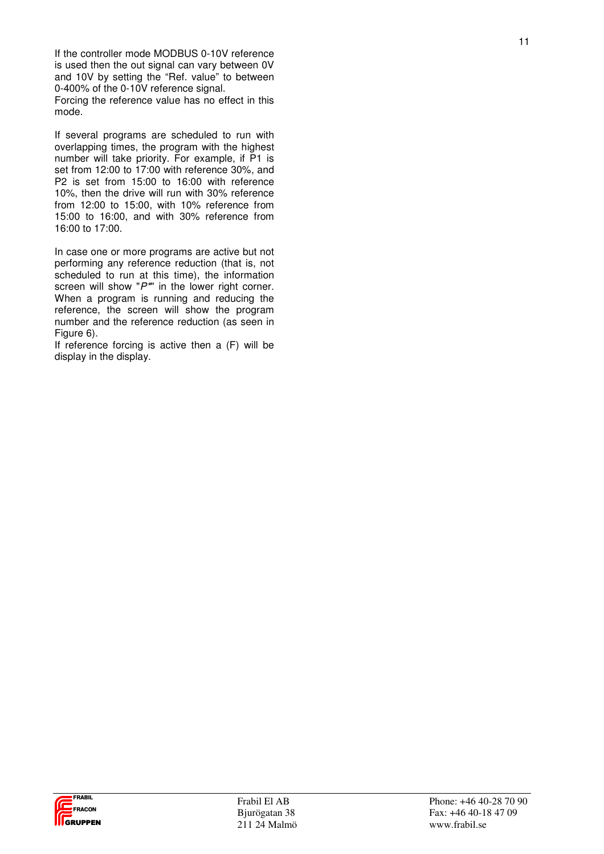If the controller mode MODBUS 0-10V reference is used then the out signal can vary between OV and 10V by setting the "Ref. value" to between 0-400% of the 0-10V reference signal. Forcing the reference value has no effect in this

mode.

If several programs are scheduled to run with overlapping times, the program with the highest number will take priority. For example, if P1 is set from 12:00 to 17:00 with reference 30%, and P2 is set from 15:00 to 16:00 with reference 10%, then the drive will run with 30% reference from 12:00 to 15:00, with 10% reference from 15:00 to 16:00, and with 30% reference from 16:00 to 17:00.

In case one or more programs are active but not performing any reference reduction (that is, not scheduled to run at this time), the information screen will show " $P^*$ " in the lower right corner. When a program is running and reducing the reference, the screen will show the program number and the reference reduction (as seen in Figure 6).

If reference forcing is active then a (F) will be display in the display.

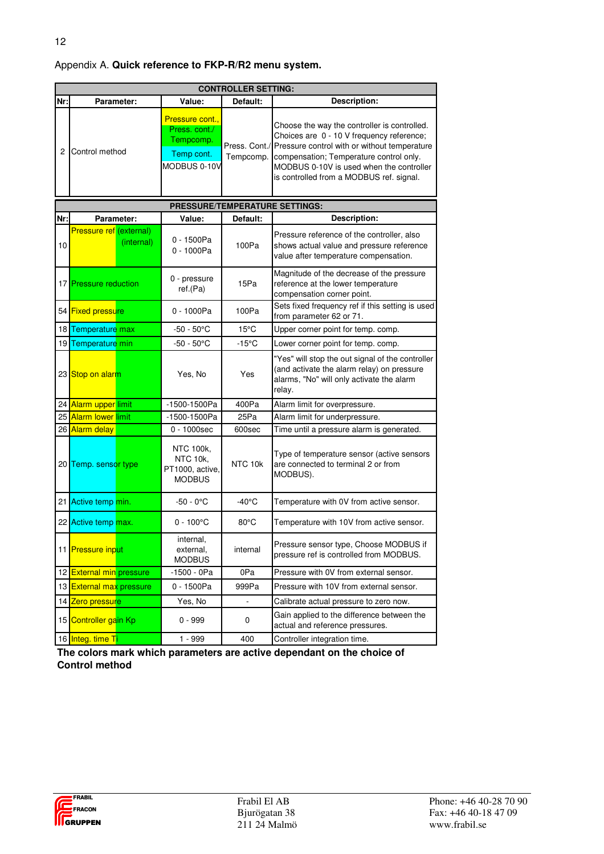12

|                | <b>CONTROLLER SETTING:</b>            |                                                                             |                 |                                                                                                                                                                                                                                                                                            |  |  |
|----------------|---------------------------------------|-----------------------------------------------------------------------------|-----------------|--------------------------------------------------------------------------------------------------------------------------------------------------------------------------------------------------------------------------------------------------------------------------------------------|--|--|
| Nr:            | Parameter:                            | Value:                                                                      | Default:        | Description:                                                                                                                                                                                                                                                                               |  |  |
| 2 <sub>1</sub> | Control method                        | Pressure cont.,<br>Press, cont./<br>Tempcomp.<br>Temp cont.<br>MODBUS 0-10V | Tempcomp.       | Choose the way the controller is controlled.<br>Choices are 0 - 10 V frequency reference;<br>Press. Cont./ Pressure control with or without temperature<br>compensation; Temperature control only.<br>MODBUS 0-10V is used when the controller<br>is controlled from a MODBUS ref. signal. |  |  |
|                |                                       | PRESSURE/TEMPERATURE SETTINGS:                                              |                 |                                                                                                                                                                                                                                                                                            |  |  |
| Nr:            | Parameter:                            | Value:                                                                      | Default:        | <b>Description:</b>                                                                                                                                                                                                                                                                        |  |  |
| 10             | Pressure ref (external)<br>(internal) | 0 - 1500Pa<br>0 - 1000Pa                                                    | 100Pa           | Pressure reference of the controller, also<br>shows actual value and pressure reference<br>value after temperature compensation.                                                                                                                                                           |  |  |
|                | 17 <b>Pressure reduction</b>          | 0 - pressure<br>ref.(Pa)                                                    | 15Pa            | Magnitude of the decrease of the pressure<br>reference at the lower temperature<br>compensation corner point.                                                                                                                                                                              |  |  |
|                | 54 Fixed pressure                     | 0 - 1000Pa                                                                  | 100Pa           | Sets fixed frequency ref if this setting is used<br>from parameter 62 or 71.                                                                                                                                                                                                               |  |  |
|                | 18 Temperature max                    | -50 - 50°C                                                                  | $15^{\circ}$ C  | Upper corner point for temp. comp.                                                                                                                                                                                                                                                         |  |  |
|                | 19 Temperature min                    | $-50 - 50^{\circ}$ C                                                        | $-15^{\circ}$ C | Lower corner point for temp. comp.                                                                                                                                                                                                                                                         |  |  |
|                | 23 Stop on alarm                      | Yes, No                                                                     | Yes             | "Yes" will stop the out signal of the controller<br>(and activate the alarm relay) on pressure<br>alarms, "No" will only activate the alarm<br>relay.                                                                                                                                      |  |  |
|                | 24 Alarm upper limit                  | -1500-1500Pa                                                                | 400Pa           | Alarm limit for overpressure.                                                                                                                                                                                                                                                              |  |  |
|                | 25 Alarm lower limit                  | -1500-1500Pa                                                                | 25Pa            | Alarm limit for underpressure.                                                                                                                                                                                                                                                             |  |  |
|                | 26 Alarm delay                        | 0 - 1000sec                                                                 | 600sec          | Time until a pressure alarm is generated.                                                                                                                                                                                                                                                  |  |  |
|                | 20 Temp. sensor type                  | NTC 100k,<br>NTC 10k,<br>PT1000, active,<br><b>MODBUS</b>                   | NTC 10k         | Type of temperature sensor (active sensors<br>are connected to terminal 2 or from<br>MODBUS).                                                                                                                                                                                              |  |  |
|                | 21 Active temp min.                   | $-50 - 0$ °C                                                                | $-40^{\circ}$ C | Temperature with 0V from active sensor.                                                                                                                                                                                                                                                    |  |  |
|                | 22 Active temp max.                   | $0 - 100^{\circ}$ C                                                         | $80^{\circ}$ C  | Temperature with 10V from active sensor.                                                                                                                                                                                                                                                   |  |  |
|                | 11 Pressure input                     | internal,<br>external,<br><b>MODBUS</b>                                     | internal        | Pressure sensor type, Choose MODBUS if<br>pressure ref is controlled from MODBUS.                                                                                                                                                                                                          |  |  |
|                | 12 External min pressure              | -1500 - 0Pa                                                                 | 0Pa             | Pressure with 0V from external sensor.                                                                                                                                                                                                                                                     |  |  |
|                | 13 External max pressure              | 0 - 1500Pa                                                                  | 999Pa           | Pressure with 10V from external sensor.                                                                                                                                                                                                                                                    |  |  |
|                | 14 Zero pressure                      | Yes, No                                                                     | $\Box$          | Calibrate actual pressure to zero now.                                                                                                                                                                                                                                                     |  |  |
|                | 15 Controller gain Kp                 | $0 - 999$                                                                   | 0               | Gain applied to the difference between the<br>actual and reference pressures.                                                                                                                                                                                                              |  |  |
|                | 16 Integ. time Ti                     | 1 - 999                                                                     | 400             | Controller integration time.                                                                                                                                                                                                                                                               |  |  |

**The colors mark which parameters are active dependant on the choice of Control method**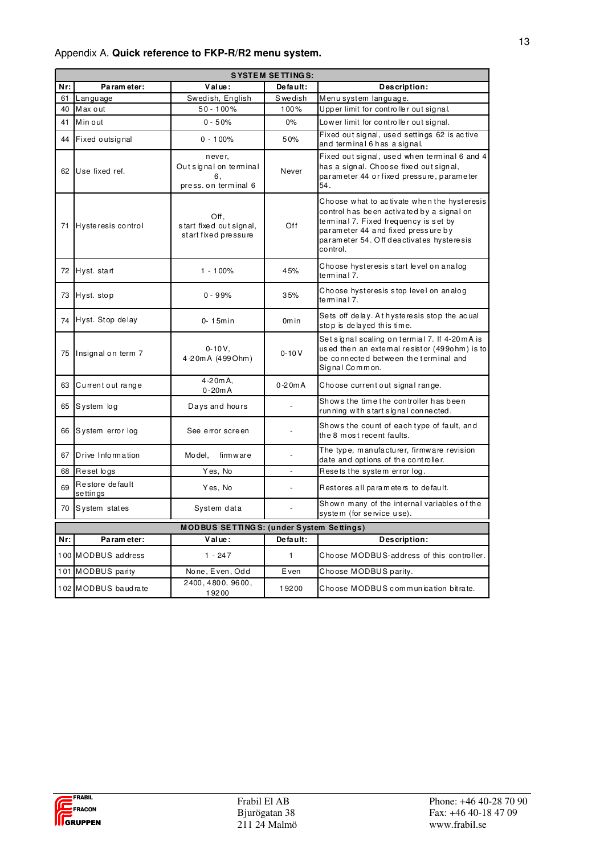# Appendix A. **Quick reference to FKP-R/R2 menu system.**

|     | <b>SYSTEM SETTINGS:</b>                         |                                                               |                   |                                                                                                                                                                                                                                 |  |  |
|-----|-------------------------------------------------|---------------------------------------------------------------|-------------------|---------------------------------------------------------------------------------------------------------------------------------------------------------------------------------------------------------------------------------|--|--|
| Nr: | Parameter:                                      | Value:                                                        | De fault:         | Description:                                                                                                                                                                                                                    |  |  |
| 61  | Language                                        | Swedish, English                                              | Swedish           | Menusystem language.                                                                                                                                                                                                            |  |  |
| 40  | Max out                                         | $50 - 100%$                                                   | 100%              | Upper limit for controller out signal.                                                                                                                                                                                          |  |  |
| 41  | Min out                                         | $0 - 50%$                                                     | 0%                | Lower limit for controller out signal.                                                                                                                                                                                          |  |  |
| 44  | Fixed outsignal                                 | $0 - 100%$                                                    | 50%               | Fixed out signal, used settings 62 is active<br>and terminal 6 has a signal.                                                                                                                                                    |  |  |
| 62  | Use fixed ref.                                  | never,<br>Out signal on terminal<br>6.<br>press.on terminal 6 | Never             | Fixed out signal, used when terminal 6 and 4<br>has a signal. Choose fixed out signal,<br>parameter 44 or fixed pressure, parameter<br>54.                                                                                      |  |  |
| 71  | Hysteresis control                              | Off,<br>start fixed out signal,<br>start fixed pressure       | Off               | Choose what to activate when the hysteresis<br>control has been activated by a signal on<br>terminal 7. Fixed frequency is set by<br>parameter 44 and fixed pressure by<br>parameter 54. Off deactivates hysteresis<br>control. |  |  |
| 72  | Hyst. start                                     | $1 - 100%$                                                    | 45%               | Choose hysteresis start level on analog<br>te m ina I 7.                                                                                                                                                                        |  |  |
|     | 73 Hyst. stop                                   | $0 - 99%$                                                     | 35%               | Choose hysteresis stop level on analog<br>te minal 7.                                                                                                                                                                           |  |  |
|     | 74 Hyst. Stop delay                             | $0-15$ min                                                    | 0 <sub>m</sub> in | Sets off delay. At hysteresis stop the acual<br>stop is delayed this time.                                                                                                                                                      |  |  |
| 75  | Insignal on term 7                              | $0 - 10V$ ,<br>4-20m A (499 Ohm)                              | $0 - 10V$         | Setsignal scaling on termial 7. If 4-20 mA is<br>used then an extemal resistor (499ohm) is to<br>be connected between the terminal and<br>Signal Common.                                                                        |  |  |
| 63  | Current out range                               | $4 - 20mA,$<br>$0 - 20mA$                                     | $0-20mA$          | Choose current out signal range.                                                                                                                                                                                                |  |  |
| 65  | System log                                      | Days and hours                                                | $\overline{a}$    | Shows the time the controller has been<br>running with start signal connected.                                                                                                                                                  |  |  |
|     | 66 System error log                             | See error screen                                              |                   | Shows the count of each type of fault, and<br>the 8 most recent faults.                                                                                                                                                         |  |  |
| 67  | Drive Information                               | Model,<br>firmware                                            | $\overline{a}$    | The type, manufacturer, firmware revision<br>date and options of the controller.                                                                                                                                                |  |  |
| 68  | Reset logs                                      | Yes, No                                                       | $\overline{a}$    | Resets the system error log.                                                                                                                                                                                                    |  |  |
| 69  | Restore default<br>settings                     | Yes, No                                                       |                   | Restores all parameters to default.                                                                                                                                                                                             |  |  |
|     | 70 System states                                | System data                                                   |                   | Shown many of the internal variables of the<br>system (for service use).                                                                                                                                                        |  |  |
|     | <b>MODBUS SETTINGS: (under System Settings)</b> |                                                               |                   |                                                                                                                                                                                                                                 |  |  |
| Nr: | Parameter:                                      | $V$ al ue:                                                    | De fault:         | Description:                                                                                                                                                                                                                    |  |  |
|     | 100 MODBUS address                              | $1 - 247$                                                     | $\mathbf{1}$      | Choose MODBUS-address of this controller.                                                                                                                                                                                       |  |  |
|     | 101 MODBUS parity                               | None, Even, Odd                                               | Even              | Choose MODBUS parity.                                                                                                                                                                                                           |  |  |
|     | 102 MODBUS baudrate                             | 2400, 4800, 9600,<br>19200                                    | 19200             | Choose MODBUS communication bitrate.                                                                                                                                                                                            |  |  |

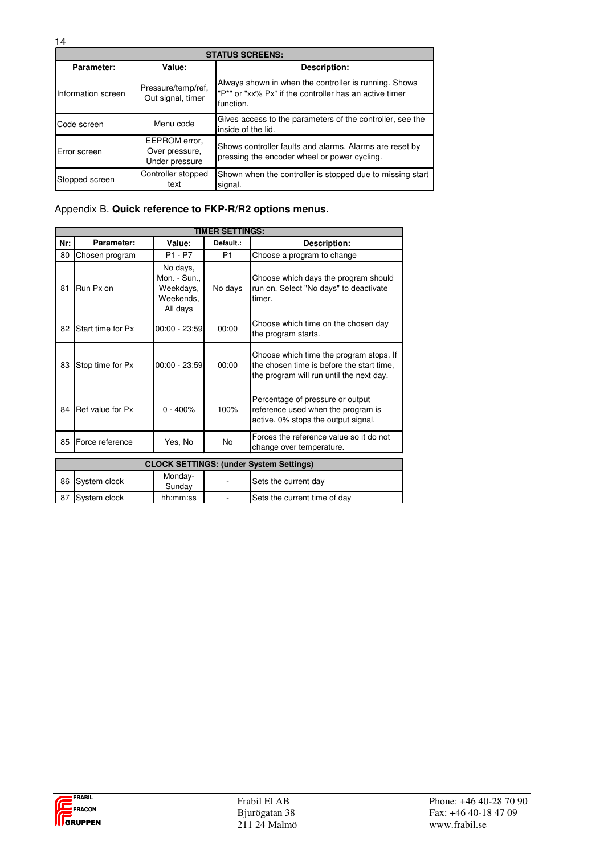| <b>STATUS SCREENS:</b> |                                                   |                                                                                                                              |  |  |  |  |
|------------------------|---------------------------------------------------|------------------------------------------------------------------------------------------------------------------------------|--|--|--|--|
| Parameter:             | Value:                                            | Description:                                                                                                                 |  |  |  |  |
| Information screen     | Pressure/temp/ref,<br>Out signal, timer           | Always shown in when the controller is running. Shows<br>"P*" or "xx% Px" if the controller has an active timer<br>function. |  |  |  |  |
| Code screen            | Menu code                                         | Gives access to the parameters of the controller, see the<br>inside of the lid.                                              |  |  |  |  |
| Error screen           | EEPROM error.<br>Over pressure,<br>Under pressure | Shows controller faults and alarms. Alarms are reset by<br>pressing the encoder wheel or power cycling.                      |  |  |  |  |
| Stopped screen         | Controller stopped<br>text                        | Shown when the controller is stopped due to missing start<br>signal.                                                         |  |  |  |  |

# Appendix B. **Quick reference to FKP-R/R2 options menus.**

|     | <b>TIMER SETTINGS:</b>                         |                                                                |                |                                                                                                                                  |  |  |  |  |  |  |
|-----|------------------------------------------------|----------------------------------------------------------------|----------------|----------------------------------------------------------------------------------------------------------------------------------|--|--|--|--|--|--|
| Nr: | Parameter:                                     | Value:                                                         | Default.:      | Description:                                                                                                                     |  |  |  |  |  |  |
| 80  | Chosen program                                 | P1 - P7                                                        | P <sub>1</sub> | Choose a program to change                                                                                                       |  |  |  |  |  |  |
| 81  | Run Px on                                      | No days,<br>Mon. - Sun.,<br>Weekdays,<br>Weekends.<br>All days | No days        | Choose which days the program should<br>run on. Select "No days" to deactivate<br>timer.                                         |  |  |  |  |  |  |
| 82  | Start time for Px                              | $00:00 - 23:59$                                                | 00:00          | Choose which time on the chosen day<br>the program starts.                                                                       |  |  |  |  |  |  |
| 83  | Stop time for Px                               | $00:00 - 23:59$                                                | 00:00          | Choose which time the program stops. If<br>the chosen time is before the start time.<br>the program will run until the next day. |  |  |  |  |  |  |
| 84  | Ref value for Px                               | $0 - 400%$                                                     | 100%           | Percentage of pressure or output<br>reference used when the program is<br>active. 0% stops the output signal.                    |  |  |  |  |  |  |
| 85  | Force reference                                | Yes, No                                                        | <b>No</b>      | Forces the reference value so it do not<br>change over temperature.                                                              |  |  |  |  |  |  |
|     | <b>CLOCK SETTINGS: (under System Settings)</b> |                                                                |                |                                                                                                                                  |  |  |  |  |  |  |
| 86  | System clock                                   | Monday-<br>Sunday                                              |                | Sets the current day                                                                                                             |  |  |  |  |  |  |
| 87  | System clock                                   | hh:mm:ss                                                       |                | Sets the current time of day                                                                                                     |  |  |  |  |  |  |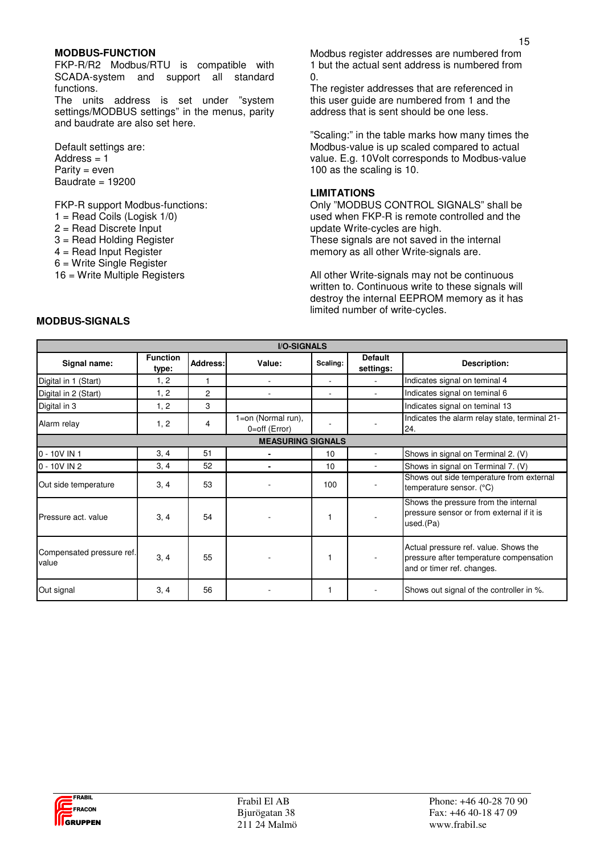#### **MODBUS-FUNCTION**

FKP-R/R2 Modbus/RTU is compatible with SCADA-system and support all standard functions.

The units address is set under "system settings/MODBUS settings" in the menus, parity and baudrate are also set here.

Default settings are: Address  $= 1$ Parity = even Baudrate  $= 19200$ 

FKP-R support Modbus-functions:

- $1 =$  Read Coils (Logisk  $1/0$ )
- 2 = Read Discrete Input
- 3 = Read Holding Register
- 4 = Read Input Register
- 6 = Write Single Register
- 16 = Write Multiple Registers

Modbus register addresses are numbered from 1 but the actual sent address is numbered from  $\Omega$ .

The register addresses that are referenced in this user guide are numbered from 1 and the address that is sent should be one less.

"Scaling:" in the table marks how many times the Modbus-value is up scaled compared to actual value. E.g. 10Volt corresponds to Modbus-value 100 as the scaling is 10.

#### **LIMITATIONS**

Only "MODBUS CONTROL SIGNALS" shall be used when FKP-R is remote controlled and the update Write-cycles are high. These signals are not saved in the internal memory as all other Write-signals are.

All other Write-signals may not be continuous written to. Continuous write to these signals will destroy the internal EEPROM memory as it has limited number of write-cycles.

| <b>I/O-SIGNALS</b>                 |                          |                |                                        |          |                             |                                                                                                                |  |
|------------------------------------|--------------------------|----------------|----------------------------------------|----------|-----------------------------|----------------------------------------------------------------------------------------------------------------|--|
| Signal name:                       | <b>Function</b><br>type: | Address:       | Value:                                 | Scaling: | <b>Default</b><br>settings: | Description:                                                                                                   |  |
| Digital in 1 (Start)               | 1, 2                     |                |                                        | ٠        |                             | Indicates signal on teminal 4                                                                                  |  |
| Digital in 2 (Start)               | 1, 2                     | $\overline{c}$ |                                        |          |                             | Indicates signal on teminal 6                                                                                  |  |
| Digital in 3                       | 1, 2                     | 3              |                                        |          |                             | Indicates signal on teminal 13                                                                                 |  |
| Alarm relay                        | 1, 2                     | 4              | 1=on (Normal run),<br>$0=$ off (Error) |          |                             | Indicates the alarm relay state, terminal 21-<br>24.                                                           |  |
| <b>MEASURING SIGNALS</b>           |                          |                |                                        |          |                             |                                                                                                                |  |
| $0 - 10V$ IN 1                     | 3, 4                     | 51             |                                        | 10       |                             | Shows in signal on Terminal 2. (V)                                                                             |  |
| $0 - 10V$ IN 2                     | 3, 4                     | 52             |                                        | 10       |                             | Shows in signal on Terminal 7. (V)                                                                             |  |
| Out side temperature               | 3, 4                     | 53             |                                        | 100      |                             | Shows out side temperature from external<br>temperature sensor. $(^{\circ}C)$                                  |  |
| Pressure act. value                | 3, 4                     | 54             |                                        |          |                             | Shows the pressure from the internal<br>pressure sensor or from external if it is<br>used.(Pa)                 |  |
| Compensated pressure ref.<br>value | 3, 4                     | 55             |                                        |          |                             | Actual pressure ref. value. Shows the<br>pressure after temperature compensation<br>and or timer ref. changes. |  |
| Out signal                         | 3, 4                     | 56             |                                        |          |                             | Shows out signal of the controller in %.                                                                       |  |

## **MODBUS-SIGNALS**

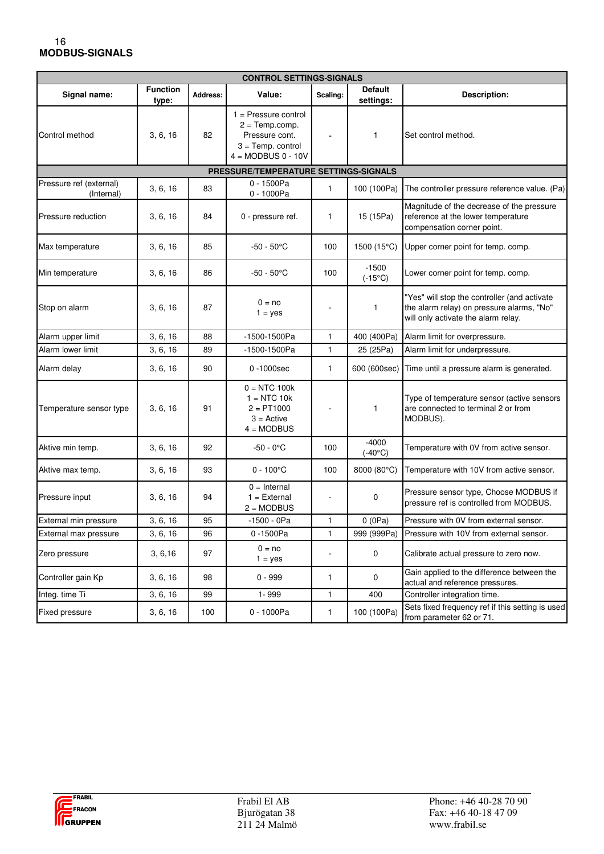#### 16  **MODBUS-SIGNALS**

| <b>CONTROL SETTINGS-SIGNALS</b>       |                          |          |                                                                                                             |                              |                             |                                                                                                                                  |
|---------------------------------------|--------------------------|----------|-------------------------------------------------------------------------------------------------------------|------------------------------|-----------------------------|----------------------------------------------------------------------------------------------------------------------------------|
| Signal name:                          | <b>Function</b><br>type: | Address: | Value:                                                                                                      | Scaling:                     | <b>Default</b><br>settings: | Description:                                                                                                                     |
| Control method                        | 3, 6, 16                 | 82       | $1 =$ Pressure control<br>$2 = Temp.comp.$<br>Pressure cont.<br>$3 = Temp.$ control<br>$4 = MODBUS 0 - 10V$ |                              | $\mathbf{1}$                | Set control method.                                                                                                              |
|                                       |                          |          | PRESSURE/TEMPERATURE SETTINGS-SIGNALS                                                                       |                              |                             |                                                                                                                                  |
| Pressure ref (external)<br>(Internal) | 3, 6, 16                 | 83       | $0 - 1500Pa$<br>$0 - 1000Pa$                                                                                | $\mathbf{1}$                 | 100 (100Pa)                 | The controller pressure reference value. (Pa)                                                                                    |
| Pressure reduction                    | 3, 6, 16                 | 84       | 0 - pressure ref.                                                                                           | 1                            | 15 (15Pa)                   | Magnitude of the decrease of the pressure<br>reference at the lower temperature<br>compensation corner point.                    |
| Max temperature                       | 3, 6, 16                 | 85       | $-50 - 50^{\circ}$ C                                                                                        | 100                          | 1500 (15°C)                 | Upper corner point for temp. comp.                                                                                               |
| Min temperature                       | 3, 6, 16                 | 86       | $-50 - 50^{\circ}$ C                                                                                        | 100                          | $-1500$<br>$(-15^{\circ}C)$ | Lower corner point for temp. comp.                                                                                               |
| Stop on alarm                         | 3, 6, 16                 | 87       | $0 = no$<br>$1 = yes$                                                                                       |                              | $\mathbf{1}$                | "Yes" will stop the controller (and activate<br>the alarm relay) on pressure alarms, "No"<br>will only activate the alarm relay. |
| Alarm upper limit                     | 3, 6, 16                 | 88       | -1500-1500Pa                                                                                                | $\mathbf{1}$                 | 400 (400Pa)                 | Alarm limit for overpressure.                                                                                                    |
| Alarm lower limit                     | 3, 6, 16                 | 89       | -1500-1500Pa                                                                                                | $\mathbf{1}$                 | 25 (25Pa)                   | Alarm limit for underpressure.                                                                                                   |
| Alarm delay                           | 3, 6, 16                 | 90       | 0-1000sec                                                                                                   | 1                            | 600 (600sec)                | Time until a pressure alarm is generated.                                                                                        |
| Temperature sensor type               | 3, 6, 16                 | 91       | $0 = NTC 100k$<br>$1 = NTC$ 10 $k$<br>$2 = PT1000$<br>$3 =$ Active<br>$4 = MODBUS$                          | ä,                           | 1                           | Type of temperature sensor (active sensors<br>are connected to terminal 2 or from<br>MODBUS).                                    |
| Aktive min temp.                      | 3, 6, 16                 | 92       | $-50 - 0^{\circ}C$                                                                                          | 100                          | $-4000$<br>$(-40^{\circ}C)$ | Temperature with 0V from active sensor.                                                                                          |
| Aktive max temp.                      | 3, 6, 16                 | 93       | $0 - 100^{\circ}C$                                                                                          | 100                          | 8000 (80°C)                 | Temperature with 10V from active sensor.                                                                                         |
| Pressure input                        | 3, 6, 16                 | 94       | $0 =$ Internal<br>$1 =$ External<br>$2 = MODBUS$                                                            |                              | 0                           | Pressure sensor type, Choose MODBUS if<br>pressure ref is controlled from MODBUS.                                                |
| External min pressure                 | 3, 6, 16                 | 95       | $-1500 - 0 Pa$                                                                                              | $\mathbf{1}$                 | 0(0Pa)                      | Pressure with 0V from external sensor.                                                                                           |
| External max pressure                 | 3, 6, 16                 | 96       | 0-1500Pa                                                                                                    | $\mathbf{1}$                 | 999 (999Pa)                 | Pressure with 10V from external sensor.                                                                                          |
| Zero pressure                         | 3, 6, 16                 | 97       | $0 = no$<br>$1 = yes$                                                                                       | $\qquad \qquad \blacksquare$ | 0                           | Calibrate actual pressure to zero now.                                                                                           |
| Controller gain Kp                    | 3, 6, 16                 | 98       | $0 - 999$                                                                                                   | 1                            | 0                           | Gain applied to the difference between the<br>actual and reference pressures.                                                    |
| Integ. time Ti                        | 3, 6, 16                 | 99       | 1-999                                                                                                       | 1                            | 400                         | Controller integration time.                                                                                                     |
| Fixed pressure                        | 3, 6, 16                 | 100      | 0 - 1000Pa                                                                                                  | $\mathbf{1}$                 | 100 (100Pa)                 | Sets fixed frequency ref if this setting is used<br>from parameter 62 or 71.                                                     |

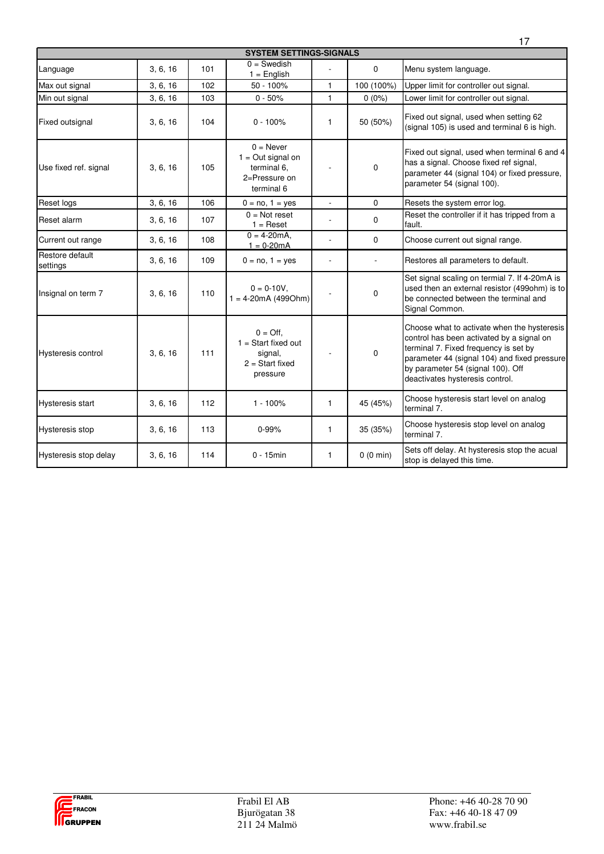|                             |          |     |                                                                                       |                |             | 17                                                                                                                                                                                                                                                        |
|-----------------------------|----------|-----|---------------------------------------------------------------------------------------|----------------|-------------|-----------------------------------------------------------------------------------------------------------------------------------------------------------------------------------------------------------------------------------------------------------|
|                             |          |     | <b>SYSTEM SETTINGS-SIGNALS</b>                                                        |                |             |                                                                                                                                                                                                                                                           |
| Language                    | 3, 6, 16 | 101 | $0 =$ Swedish<br>$1 =$ English                                                        |                | $\mathbf 0$ | Menu system language.                                                                                                                                                                                                                                     |
| Max out signal              | 3, 6, 16 | 102 | $50 - 100%$                                                                           | $\mathbf{1}$   | 100 (100%)  | Upper limit for controller out signal.                                                                                                                                                                                                                    |
| Min out signal              | 3, 6, 16 | 103 | $0 - 50%$                                                                             | $\mathbf{1}$   | $0(0\%)$    | Lower limit for controller out signal.                                                                                                                                                                                                                    |
| Fixed outsignal             | 3, 6, 16 | 104 | $0 - 100%$                                                                            | $\mathbf{1}$   | 50 (50%)    | Fixed out signal, used when setting 62<br>(signal 105) is used and terminal 6 is high.                                                                                                                                                                    |
| Use fixed ref. signal       | 3, 6, 16 | 105 | $0 =$ Never<br>$1 = Out$ signal on<br>terminal 6.<br>2=Pressure on<br>terminal 6      |                | $\mathbf 0$ | Fixed out signal, used when terminal 6 and 4<br>has a signal. Choose fixed ref signal,<br>parameter 44 (signal 104) or fixed pressure,<br>parameter 54 (signal 100).                                                                                      |
| Reset logs                  | 3, 6, 16 | 106 | $0 = no, 1 = yes$                                                                     | $\overline{a}$ | $\mathbf 0$ | Resets the system error log.                                                                                                                                                                                                                              |
| Reset alarm                 | 3, 6, 16 | 107 | $0 = Not reset$<br>$1 =$ Reset                                                        |                | $\mathbf 0$ | Reset the controller if it has tripped from a<br>fault.                                                                                                                                                                                                   |
| Current out range           | 3, 6, 16 | 108 | $0 = 4 - 20$ mA.<br>$1 = 0-20mA$                                                      | L              | $\mathbf 0$ | Choose current out signal range.                                                                                                                                                                                                                          |
| Restore default<br>settings | 3, 6, 16 | 109 | $0 = no, 1 = yes$                                                                     | L.             | ÷.          | Restores all parameters to default.                                                                                                                                                                                                                       |
| Insignal on term 7          | 3, 6, 16 | 110 | $0 = 0-10V$ ,<br>$1 = 4-20mA (499Ohm)$                                                |                | $\mathbf 0$ | Set signal scaling on termial 7. If 4-20mA is<br>used then an external resistor (499ohm) is to<br>be connected between the terminal and<br>Signal Common.                                                                                                 |
| Hysteresis control          | 3, 6, 16 | 111 | $0 = \text{Off}$<br>$1 = Start fixed out$<br>signal,<br>$2 = Start fixed$<br>pressure |                | 0           | Choose what to activate when the hysteresis<br>control has been activated by a signal on<br>terminal 7. Fixed frequency is set by<br>parameter 44 (signal 104) and fixed pressure<br>by parameter 54 (signal 100). Off<br>deactivates hysteresis control. |
| Hysteresis start            | 3, 6, 16 | 112 | $1 - 100%$                                                                            | $\mathbf{1}$   | 45 (45%)    | Choose hysteresis start level on analog<br>terminal 7.                                                                                                                                                                                                    |
| Hysteresis stop             | 3, 6, 16 | 113 | $0 - 99%$                                                                             | $\mathbf{1}$   | 35 (35%)    | Choose hysteresis stop level on analog<br>terminal 7.                                                                                                                                                                                                     |
| Hysteresis stop delay       | 3, 6, 16 | 114 | $0 - 15$ min                                                                          | $\mathbf{1}$   | 0(0 min)    | Sets off delay. At hysteresis stop the acual<br>stop is delayed this time.                                                                                                                                                                                |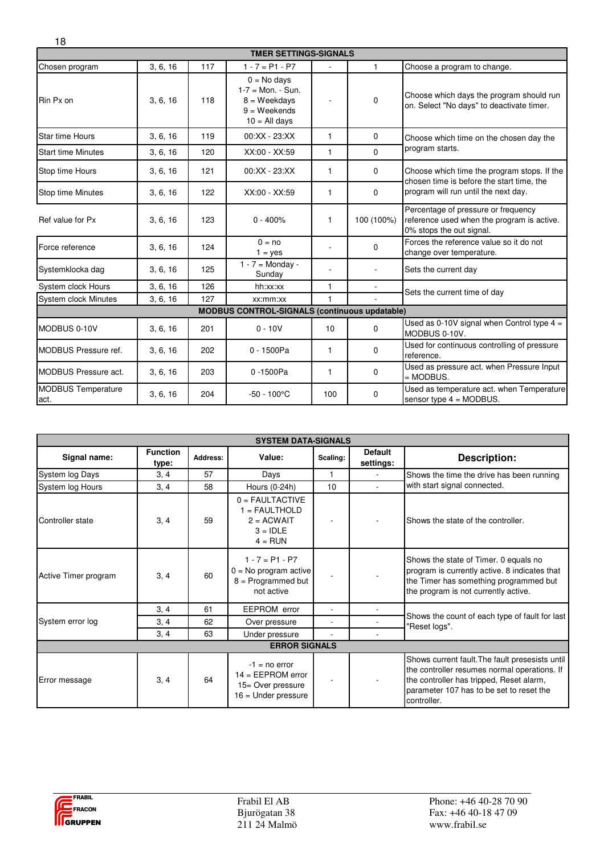| <b>TMER SETTINGS-SIGNALS</b>      |          |     |                                                                                               |                 |              |                                                                                                                                  |  |
|-----------------------------------|----------|-----|-----------------------------------------------------------------------------------------------|-----------------|--------------|----------------------------------------------------------------------------------------------------------------------------------|--|
| Chosen program                    | 3, 6, 16 | 117 | $1 - 7 = P1 - P7$                                                                             |                 | $\mathbf{1}$ | Choose a program to change.                                                                                                      |  |
| Rin Px on                         | 3, 6, 16 | 118 | $0 = No$ days<br>$1 - 7 =$ Mon. - Sun.<br>$8 = Weekdavs$<br>$9 = Weekends$<br>$10 =$ All days |                 | $\Omega$     | Choose which days the program should run<br>on. Select "No days" to deactivate timer.                                            |  |
| Star time Hours                   | 3, 6, 16 | 119 | $00:XX - 23:XX$                                                                               | $\mathbf{1}$    | $\Omega$     | Choose which time on the chosen day the                                                                                          |  |
| <b>Start time Minutes</b>         | 3, 6, 16 | 120 | XX:00 - XX:59                                                                                 | $\mathbf{1}$    | $\Omega$     | program starts.                                                                                                                  |  |
| Stop time Hours                   | 3, 6, 16 | 121 | $00:XX - 23:XX$                                                                               | $\mathbf{1}$    | 0            | Choose which time the program stops. If the<br>chosen time is before the start time, the<br>program will run until the next day. |  |
| Stop time Minutes                 | 3, 6, 16 | 122 | XX:00 - XX:59                                                                                 | $\mathbf{1}$    | $\Omega$     |                                                                                                                                  |  |
| Ref value for Px                  | 3, 6, 16 | 123 | $0 - 400%$                                                                                    | $\mathbf{1}$    | 100 (100%)   | Percentage of pressure or frequency<br>reference used when the program is active.<br>0% stops the out signal.                    |  |
| Force reference                   | 3, 6, 16 | 124 | $0 = no$<br>$1 = yes$                                                                         |                 | 0            | Forces the reference value so it do not<br>change over temperature.                                                              |  |
| Systemklocka dag                  | 3, 6, 16 | 125 | $1 - 7 =$ Monday -<br>Sunday                                                                  | ٠               |              | Sets the current day                                                                                                             |  |
| System clock Hours                | 3, 6, 16 | 126 | hh:xx:xx                                                                                      | $\mathbf{1}$    |              | Sets the current time of day                                                                                                     |  |
| System clock Minutes              | 3, 6, 16 | 127 | xx:mm:xx                                                                                      | 1               |              |                                                                                                                                  |  |
|                                   |          |     | <b>MODBUS CONTROL-SIGNALS (continuous updatable)</b>                                          |                 |              |                                                                                                                                  |  |
| MODBUS 0-10V                      | 3, 6, 16 | 201 | $0 - 10V$                                                                                     | 10 <sup>1</sup> | 0            | Used as 0-10V signal when Control type $4 =$<br>MODBUS 0-10V.                                                                    |  |
| <b>MODBUS Pressure ref.</b>       | 3, 6, 16 | 202 | $0 - 1500Pa$                                                                                  | 1               | 0            | Used for continuous controlling of pressure<br>reference.                                                                        |  |
| <b>MODBUS Pressure act.</b>       | 3, 6, 16 | 203 | 0-1500Pa                                                                                      | 1               | 0            | Used as pressure act. when Pressure Input<br>$=$ MODBUS.                                                                         |  |
| <b>MODBUS Temperature</b><br>act. | 3, 6, 16 | 204 | $-50 - 100^{\circ}$ C                                                                         | 100             | $\Omega$     | Used as temperature act. when Temperature<br>sensor type $4 = MODBUS$ .                                                          |  |

| <b>SYSTEM DATA-SIGNALS</b> |                          |          |                                                                                      |          |                             |                                                                                                                                                                                                        |
|----------------------------|--------------------------|----------|--------------------------------------------------------------------------------------|----------|-----------------------------|--------------------------------------------------------------------------------------------------------------------------------------------------------------------------------------------------------|
| Signal name:               | <b>Function</b><br>type: | Address: | Value:                                                                               | Scaling: | <b>Default</b><br>settings: | <b>Description:</b>                                                                                                                                                                                    |
| System log Days            | 3, 4                     | 57       | Days                                                                                 | 1        |                             | Shows the time the drive has been running                                                                                                                                                              |
| System log Hours           | 3, 4                     | 58       | Hours (0-24h)                                                                        | 10       |                             | with start signal connected.                                                                                                                                                                           |
| Controller state           | 3, 4                     | 59       | $0 =$ FAULTACTIVE<br>$1 = FAULTHOLD$<br>$2 = ACWAIT$<br>$3 = IDLE$<br>$4 = RUN$      |          |                             | Shows the state of the controller.                                                                                                                                                                     |
| Active Timer program       | 3, 4                     | 60       | $1 - 7 = P1 - P7$<br>$0 = No program active$<br>$8 =$ Programmed but<br>not active   |          |                             | Shows the state of Timer. 0 equals no<br>program is currently active. 8 indicates that<br>the Timer has something programmed but<br>the program is not currently active.                               |
|                            | 3, 4                     | 61       | EEPROM error                                                                         |          |                             |                                                                                                                                                                                                        |
| System error log           | 3, 4                     | 62       | Over pressure                                                                        |          |                             | Shows the count of each type of fault for last<br>"Reset logs".                                                                                                                                        |
|                            | 3, 4                     | 63       | Under pressure                                                                       |          |                             |                                                                                                                                                                                                        |
| <b>ERROR SIGNALS</b>       |                          |          |                                                                                      |          |                             |                                                                                                                                                                                                        |
| Error message              | 3, 4                     | 64       | $-1 = no error$<br>$14 = EEPROM error$<br>15= Over pressure<br>$16$ = Under pressure |          |                             | Shows current fault. The fault presesists until<br>the controller resumes normal operations. If<br>the controller has tripped, Reset alarm,<br>parameter 107 has to be set to reset the<br>controller. |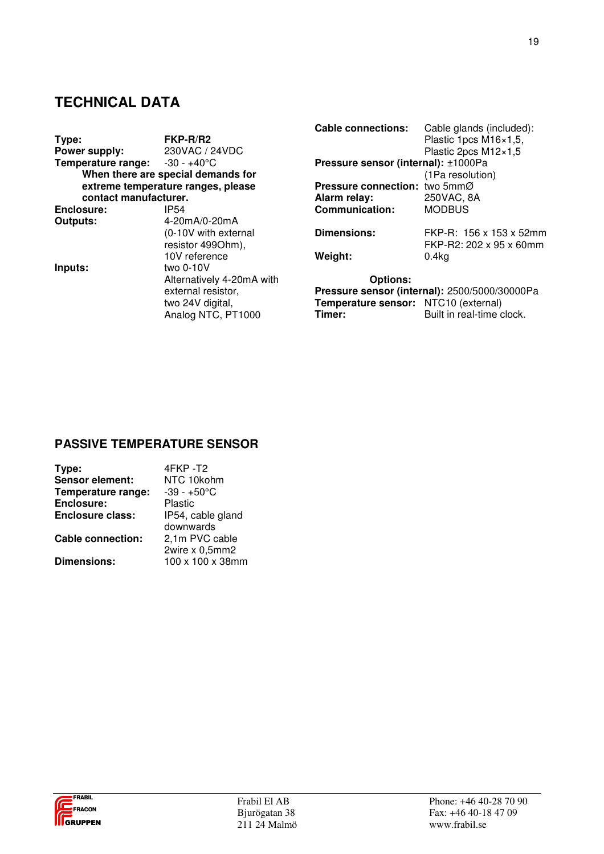# **TECHNICAL DATA**

| Type:<br>Power supply:                         | FKP-R/R2<br>230VAC / 24VDC                                   | <b>Cable connections:</b>                      | Cable glands (included):<br>Plastic 1pcs M16×1,5,<br>Plastic 2pcs M12×1,5  |
|------------------------------------------------|--------------------------------------------------------------|------------------------------------------------|----------------------------------------------------------------------------|
| <b>Temperature range:</b> $-30 - +40^{\circ}C$ |                                                              | Pressure sensor (internal): ±1000Pa            |                                                                            |
|                                                | When there are special demands for                           |                                                | (1Pa resolution)                                                           |
|                                                | extreme temperature ranges, please                           | Pressure connection: two 5mmØ                  |                                                                            |
| contact manufacturer.                          |                                                              | Alarm relay:                                   | 250VAC, 8A                                                                 |
| Enclosure:                                     | <b>IP54</b>                                                  | <b>Communication:</b>                          | <b>MODBUS</b>                                                              |
| Outputs:                                       | 4-20mA/0-20mA                                                |                                                |                                                                            |
|                                                | (0-10V with external                                         | Dimensions:                                    | FKP-R: 156 x 153 x 52mm                                                    |
|                                                | resistor 499Ohm),                                            |                                                | FKP-R2: 202 x 95 x 60mm                                                    |
|                                                | 10V reference                                                | Weight:                                        | 0.4kg                                                                      |
| Inputs:                                        | two $0-10V$                                                  |                                                |                                                                            |
|                                                | Alternatively 4-20mA with                                    | <b>Options:</b>                                |                                                                            |
|                                                | external resistor,<br>two 24V digital,<br>Analog NTC, PT1000 | Temperature sensor: NTC10 (external)<br>Timer: | Pressure sensor (internal): 2500/5000/30000Pa<br>Built in real-time clock. |

# **PASSIVE TEMPERATURE SENSOR**

| Type:                    | 4FKP-T2           |
|--------------------------|-------------------|
| <b>Sensor element:</b>   | NTC 10kohm        |
| Temperature range:       | $-39 - +50$ °C    |
| Enclosure:               | Plastic           |
| <b>Enclosure class:</b>  | IP54, cable gland |
|                          | downwards         |
| <b>Cable connection:</b> | 2,1m PVC cable    |
|                          | 2wire x 0,5mm2    |
| <b>Dimensions:</b>       | 100 x 100 x 38mm  |



19